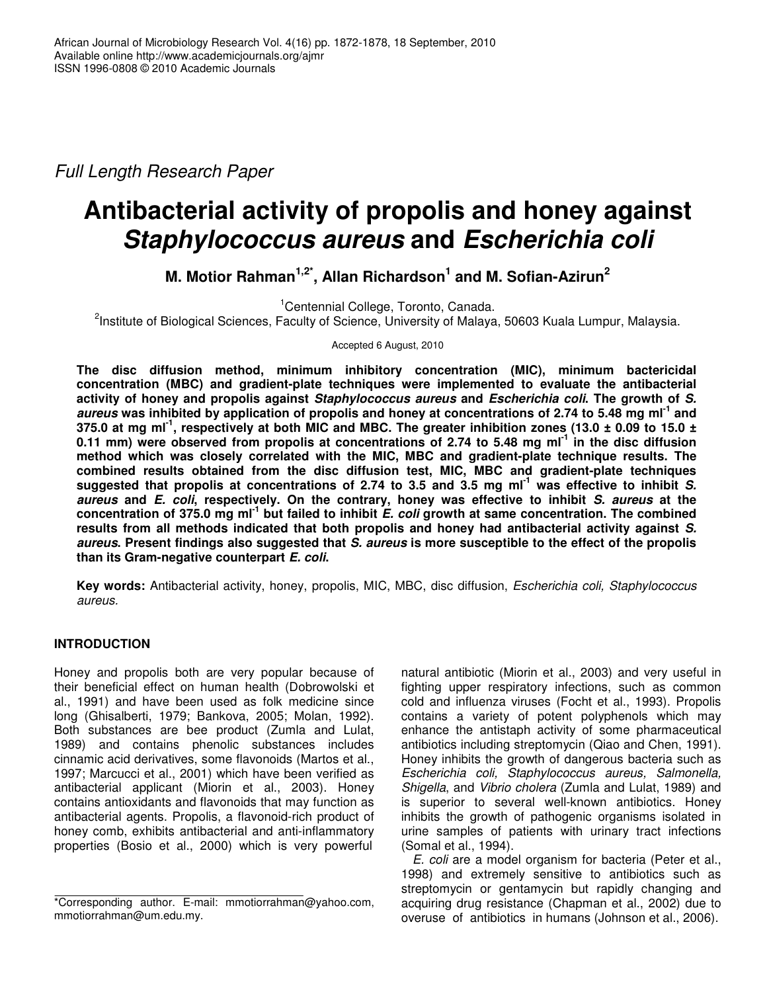*Full Length Research Paper*

# **Antibacterial activity of propolis and honey against** *Staphylococcus aureus* **and** *Escherichia coli*

**M. Motior Rahman 1,2\* , Allan Richardson 1 and M. Sofian-Azirun 2**

<sup>1</sup>Centennial College, Toronto, Canada.

<sup>2</sup>Institute of Biological Sciences, Faculty of Science, University of Malaya, 50603 Kuala Lumpur, Malaysia.

Accepted 6 August, 2010

**The disc diffusion method, minimum inhibitory concentration (MIC), minimum bactericidal concentration (MBC) and gradient-plate techniques were implemented to evaluate the antibacterial activity of honey and propolis against** *Staphylococcus aureus* **and** *Escherichia coli***. The growth of** *S.* aureus was inhibited by application of propolis and honey at concentrations of 2.74 to 5.48 mg ml<sup>-1</sup> and 375.0 at mg ml<sup>-1</sup>, respectively at both MIC and MBC. The greater inhibition zones (13.0 ± 0.09 to 15.0 ± 0.11 mm) were observed from propolis at concentrations of 2.74 to 5.48 mg ml<sup>-1</sup> in the disc diffusion **method which was closely correlated with the MIC, MBC and gradient-plate technique results. The combined results obtained from the disc diffusion test, MIC, MBC and gradient-plate techniques** suggested that propolis at concentrations of 2.74 to 3.5 and 3.5 mg ml<sup>-1</sup> was effective to inhibit S. *aureus* **and** *E. coli***, respectively. On the contrary, honey was effective to inhibit** *S. aureus* **at the** concentration of 375.0 mg ml<sup>-1</sup> but failed to inhibit E. coli growth at same concentration. The combined **results from all methods indicated that both propolis and honey had antibacterial activity against** *S.* aureus. Present findings also suggested that S. aureus is more susceptible to the effect of the propolis **than its Gram-negative counterpart** *E. coli***.**

**Key words:** Antibacterial activity, honey, propolis, MIC, MBC, disc diffusion, *Escherichia coli, Staphylococcus aureus.*

# **INTRODUCTION**

Honey and propolis both are very popular because of their beneficial effect on human health (Dobrowolski et al., 1991) and have been used as folk medicine since long (Ghisalberti, 1979; Bankova, 2005; Molan, 1992). Both substances are bee product (Zumla and Lulat, 1989) and contains phenolic substances includes cinnamic acid derivatives, some flavonoids (Martos et al., 1997; Marcucci et al., 2001) which have been verified as antibacterial applicant (Miorin et al., 2003). Honey contains antioxidants and flavonoids that may function as antibacterial agents. Propolis, a flavonoid-rich product of honey comb, exhibits antibacterial and anti-inflammatory properties (Bosio et al., 2000) which is very powerful

natural antibiotic (Miorin et al., 2003) and very useful in fighting upper respiratory infections, such as common cold and influenza viruses (Focht et al., 1993). Propolis contains a variety of potent polyphenols which may enhance the antistaph activity of some pharmaceutical antibiotics including streptomycin (Qiao and Chen, 1991). Honey inhibits the growth of dangerous bacteria such as *Escherichia coli, Staphylococcus aureus, Salmonella, Shigella*, and *Vibrio cholera* (Zumla and Lulat, 1989) and is superior to several well-known antibiotics. Honey inhibits the growth of pathogenic organisms isolated in urine samples of patients with urinary tract infections (Somal et al., 1994).

*E. coli* are a model organism for bacteria (Peter et al., 1998) and extremely sensitive to antibiotics such as streptomycin or gentamycin but rapidly changing and acquiring drug resistance (Chapman et al., 2002) due to overuse of antibiotics in humans (Johnson et al., 2006).

<sup>\*</sup>Corresponding author. E-mail: mmotiorrahman@yahoo.com, mmotiorrahman@um.edu.my.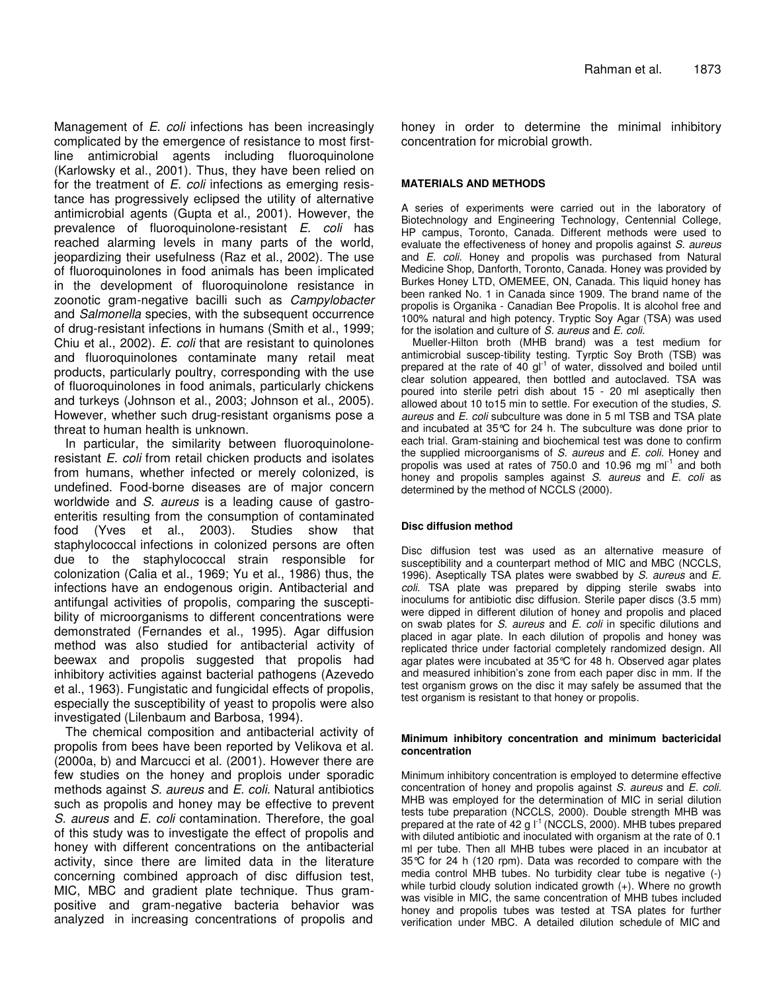Management of *E. coli* infections has been increasingly complicated by the emergence of resistance to most firstline antimicrobial agents including fluoroquinolone (Karlowsky et al., 2001). Thus, they have been relied on for the treatment of *E. coli* infections as emerging resistance has progressively eclipsed the utility of alternative antimicrobial agents (Gupta et al., 2001). However, the prevalence of fluoroquinolone-resistant *E. coli* has reached alarming levels in many parts of the world, jeopardizing their usefulness (Raz et al., 2002). The use of fluoroquinolones in food animals has been implicated in the development of fluoroquinolone resistance in zoonotic gram-negative bacilli such as *Campylobacter* and *Salmonella* species, with the subsequent occurrence of drug-resistant infections in humans (Smith et al., 1999; Chiu et al., 2002). *E. coli* that are resistant to quinolones and fluoroquinolones contaminate many retail meat products, particularly poultry, corresponding with the use of fluoroquinolones in food animals, particularly chickens and turkeys (Johnson et al., 2003; Johnson et al., 2005). However, whether such drug-resistant organisms pose a threat to human health is unknown.

In particular, the similarity between fluoroquinoloneresistant *E. coli* from retail chicken products and isolates from humans, whether infected or merely colonized, is undefined. Food-borne diseases are of major concern worldwide and *S. aureus* is a leading cause of gastroenteritis resulting from the consumption of contaminated food (Yves et al., 2003). Studies show that staphylococcal infections in colonized persons are often due to the staphylococcal strain responsible for colonization (Calia et al., 1969; Yu et al., 1986) thus, the infections have an endogenous origin. Antibacterial and antifungal activities of propolis, comparing the susceptibility of microorganisms to different concentrations were demonstrated (Fernandes et al., 1995). Agar diffusion method was also studied for antibacterial activity of beewax and propolis suggested that propolis had inhibitory activities against bacterial pathogens (Azevedo et al., 1963). Fungistatic and fungicidal effects of propolis, especially the susceptibility of yeast to propolis were also investigated (Lilenbaum and Barbosa, 1994).

The chemical composition and antibacterial activity of propolis from bees have been reported by Velikova et al. (2000a, b) and Marcucci et al. (2001). However there are few studies on the honey and proplois under sporadic methods against *S. aureus* and *E. coli.* Natural antibiotics such as propolis and honey may be effective to prevent *S. aureus* and *E. coli* contamination. Therefore, the goal of this study was to investigate the effect of propolis and honey with different concentrations on the antibacterial activity, since there are limited data in the literature concerning combined approach of disc diffusion test, MIC, MBC and gradient plate technique. Thus grampositive and gram-negative bacteria behavior was analyzed in increasing concentrations of propolis and

honey in order to determine the minimal inhibitory concentration for microbial growth.

## **MATERIALS AND METHODS**

A series of experiments were carried out in the laboratory of Biotechnology and Engineering Technology, Centennial College, HP campus, Toronto, Canada. Different methods were used to evaluate the effectiveness of honey and propolis against *S. aureus* and *E. coli*. Honey and propolis was purchased from Natural Medicine Shop, Danforth, Toronto, Canada. Honey was provided by Burkes Honey LTD, OMEMEE, ON, Canada. This liquid honey has been ranked No. 1 in Canada since 1909. The brand name of the propolis is Organika - Canadian Bee Propolis. It is alcohol free and 100% natural and high potency. Tryptic Soy Agar (TSA) was used for the isolation and culture of *S. aureus* and *E. coli*.

Mueller-Hilton broth (MHB brand) was a test medium for antimicrobial suscep-tibility testing. Tyrptic Soy Broth (TSB) was prepared at the rate of 40 gl<sup>-1</sup> of water, dissolved and boiled until clear solution appeared, then bottled and autoclaved. TSA was poured into sterile petri dish about 15 - 20 ml aseptically then allowed about 10 to15 min to settle. For execution of the studies, *S. aureus* and *E. coli* subculture was done in 5 ml TSB and TSA plate and incubated at 35°C for 24 h. The subculture was done prior to each trial. Gram-staining and biochemical test was done to confirm the supplied microorganisms of *S. aureus* and *E. coli*. Honey and propolis was used at rates of 750.0 and 10.96 mg ml<sup>-1</sup> and both honey and propolis samples against *S. aureus* and *E. coli* as determined by the method of NCCLS (2000).

## **Disc diffusion method**

Disc diffusion test was used as an alternative measure of susceptibility and a counterpart method of MIC and MBC (NCCLS, 1996). Aseptically TSA plates were swabbed by *S. aureus* and *E. coli*. TSA plate was prepared by dipping sterile swabs into inoculums for antibiotic disc diffusion. Sterile paper discs (3.5 mm) were dipped in different dilution of honey and propolis and placed on swab plates for *S. aureus* and *E. coli* in specific dilutions and placed in agar plate. In each dilution of propolis and honey was replicated thrice under factorial completely randomized design. All agar plates were incubated at 35°C for 48 h. Observed agar plates and measured inhibition's zone from each paper disc in mm. If the test organism grows on the disc it may safely be assumed that the test organism is resistant to that honey or propolis.

#### **Minimum inhibitory concentration and minimum bactericidal concentration**

Minimum inhibitory concentration is employed to determine effective concentration of honey and propolis against *S. aureus* and *E. coli*. MHB was employed for the determination of MIC in serial dilution tests tube preparation (NCCLS, 2000). Double strength MHB was prepared at the rate of 42 g  $I^{-1}$  (NCCLS, 2000). MHB tubes prepared with diluted antibiotic and inoculated with organism at the rate of 0.1 ml per tube. Then all MHB tubes were placed in an incubator at 35°C for 24 h (120 rpm). Data was recorded to compare with the media control MHB tubes. No turbidity clear tube is negative (-) while turbid cloudy solution indicated growth (+). Where no growth was visible in MIC, the same concentration of MHB tubes included honey and propolis tubes was tested at TSA plates for further verification under MBC. A detailed dilution schedule of MIC and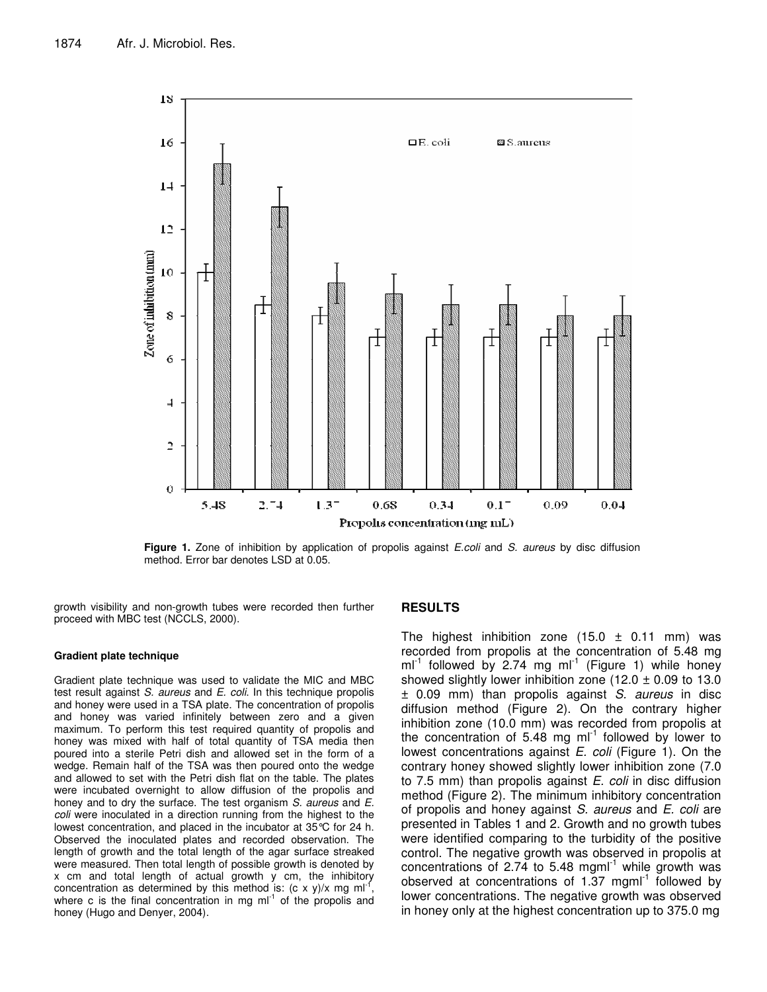

**Figure 1.** Zone of inhibition by application of propolis against *E.coli* and *S. aureus* by disc diffusion method. Error bar denotes LSD at 0.05.

growth visibility and non-growth tubes were recorded then further proceed with MBC test (NCCLS, 2000).

#### **Gradient plate technique**

Gradient plate technique was used to validate the MIC and MBC test result against *S. aureus* and *E. coli*. In this technique propolis and honey were used in a TSA plate. The concentration of propolis and honey was varied infinitely between zero and a given maximum. To perform this test required quantity of propolis and honey was mixed with half of total quantity of TSA media then poured into a sterile Petri dish and allowed set in the form of a wedge. Remain half of the TSA was then poured onto the wedge and allowed to set with the Petri dish flat on the table. The plates were incubated overnight to allow diffusion of the propolis and honey and to dry the surface. The test organism *S. aureus* and *E. coli* were inoculated in a direction running from the highest to the lowest concentration, and placed in the incubator at 35°C for 24 h. Observed the inoculated plates and recorded observation. The length of growth and the total length of the agar surface streaked were measured. Then total length of possible growth is denoted by x cm and total length of actual growth y cm, the inhibitory concentration as determined by this method is: (c x y)/x mg ml<sup>-1</sup> , where c is the final concentration in mg  $ml^{-1}$  of the propolis and honey (Hugo and Denyer, 2004).

#### **RESULTS**

The highest inhibition zone  $(15.0 \pm 0.11 \text{ mm})$  was recorded from propolis at the concentration of 5.48 mg  $ml^{-1}$  followed by 2.74 mg ml<sup>-1</sup> (Figure 1) while honey showed slightly lower inhibition zone (12.0  $\pm$  0.09 to 13.0 ± 0.09 mm) than propolis against *S. aureus* in disc diffusion method (Figure 2). On the contrary higher inhibition zone (10.0 mm) was recorded from propolis at the concentration of 5.48 mg ml $^{-1}$  followed by lower to lowest concentrations against *E. coli* (Figure 1). On the contrary honey showed slightly lower inhibition zone (7.0 to 7.5 mm) than propolis against *E. coli* in disc diffusion method (Figure 2). The minimum inhibitory concentration of propolis and honey against *S. aureus* and *E. coli* are presented in Tables 1 and 2. Growth and no growth tubes were identified comparing to the turbidity of the positive control. The negative growth was observed in propolis at concentrations of 2.74 to 5.48 mgml $^{-1}$  while growth was observed at concentrations of 1.37 mgml<sup>-1</sup> followed by lower concentrations. The negative growth was observed in honey only at the highest concentration up to 375.0 mg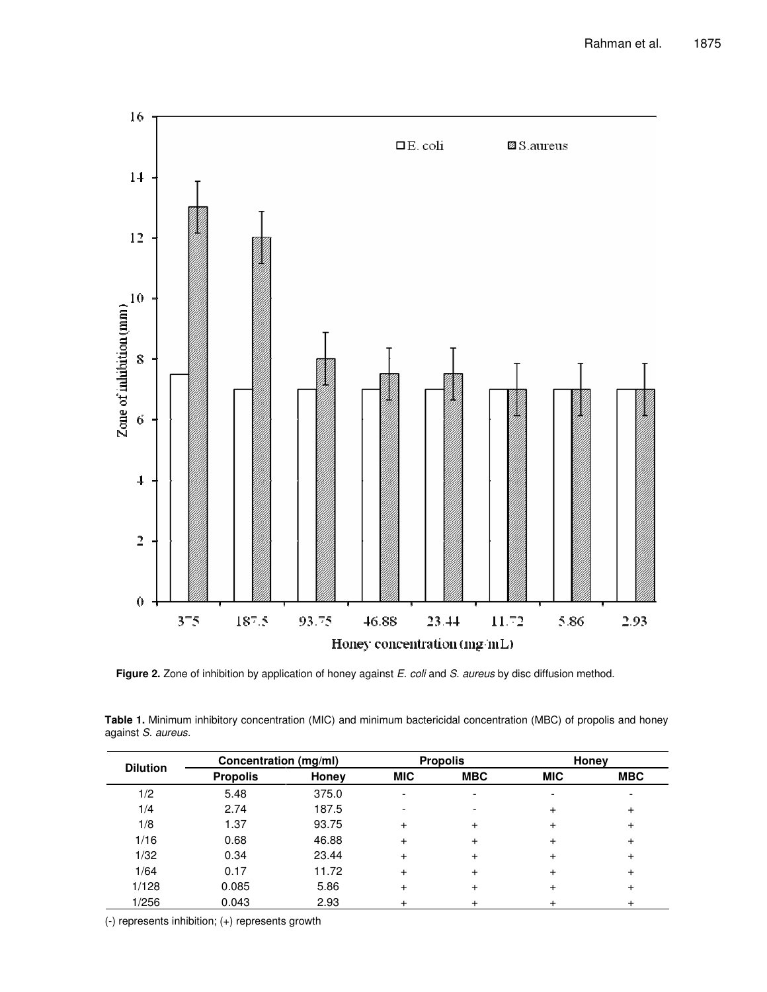

**Figure 2.** Zone of inhibition by application of honey against *E. coli* and *S. aureus* by disc diffusion method.

| Table 1. Minimum inhibitory concentration (MIC) and minimum bactericidal concentration (MBC) of propolis and honey |  |  |  |
|--------------------------------------------------------------------------------------------------------------------|--|--|--|
| against S. aureus.                                                                                                 |  |  |  |

| <b>Dilution</b> | Concentration (mg/ml) |       | <b>Propolis</b> |            | Honey      |            |
|-----------------|-----------------------|-------|-----------------|------------|------------|------------|
|                 | <b>Propolis</b>       | Honey | <b>MIC</b>      | <b>MBC</b> | <b>MIC</b> | <b>MBC</b> |
| 1/2             | 5.48                  | 375.0 | ۰               |            |            |            |
| 1/4             | 2.74                  | 187.5 |                 |            | $\pm$      | $\,^+$     |
| 1/8             | 1.37                  | 93.75 | $\ddot{}$       |            | +          | +          |
| 1/16            | 0.68                  | 46.88 | $\div$          |            |            | +          |
| 1/32            | 0.34                  | 23.44 | $\ddot{}$       |            | $\ddot{}$  | $\pm$      |
| 1/64            | 0.17                  | 11.72 | $\ddot{}$       |            | +          | $\pm$      |
| 1/128           | 0.085                 | 5.86  | $\ddot{}$       |            |            | $\pm$      |
| 1/256           | 0.043                 | 2.93  |                 |            |            | +          |

(-) represents inhibition; (+) represents growth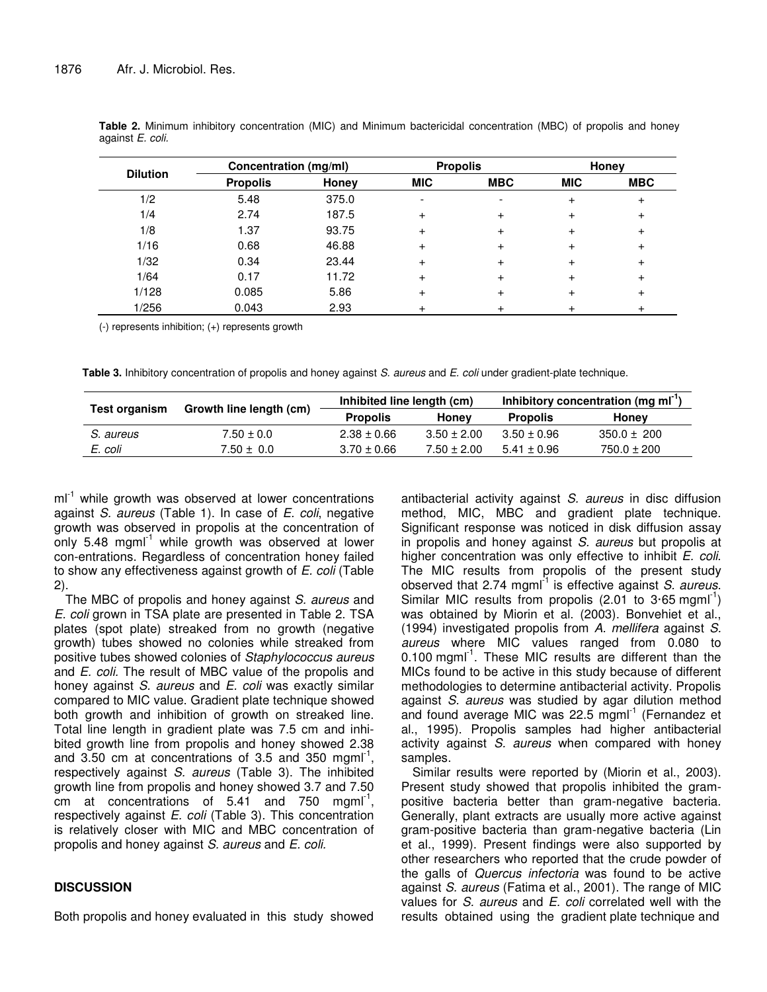| <b>Dilution</b> |                 | Concentration (mg/ml) |            | <b>Propolis</b> |            | Honey      |  |
|-----------------|-----------------|-----------------------|------------|-----------------|------------|------------|--|
|                 | <b>Propolis</b> | Honey                 | <b>MIC</b> | <b>MBC</b>      | <b>MIC</b> | <b>MBC</b> |  |
| 1/2             | 5.48            | 375.0                 |            |                 |            | +          |  |
| 1/4             | 2.74            | 187.5                 | $\pm$      |                 |            |            |  |
| 1/8             | 1.37            | 93.75                 | $\ddot{}$  |                 |            |            |  |
| 1/16            | 0.68            | 46.88                 | +          |                 |            |            |  |
| 1/32            | 0.34            | 23.44                 | +          |                 |            |            |  |
| 1/64            | 0.17            | 11.72                 | +          |                 | $\pm$      | +          |  |
| 1/128           | 0.085           | 5.86                  | $\ddot{}$  |                 |            | +          |  |
| 1/256           | 0.043           | 2.93                  |            |                 |            |            |  |

**Table 2.** Minimum inhibitory concentration (MIC) and Minimum bactericidal concentration (MBC) of propolis and honey against *E. coli.*

(-) represents inhibition; (+) represents growth

**Table 3.** Inhibitory concentration of propolis and honey against *S. aureus* and *E. coli* under gradient-plate technique.

| <b>Test organism</b> | Growth line length (cm) | Inhibited line length (cm) |                 | Inhibitory concentration (mg ml <sup>-1</sup> ) |                 |
|----------------------|-------------------------|----------------------------|-----------------|-------------------------------------------------|-----------------|
|                      |                         | <b>Propolis</b>            | Honey           | <b>Propolis</b>                                 | Honey           |
| S. aureus            | $7.50 \pm 0.0$          | $2.38 \pm 0.66$            | $3.50 \pm 2.00$ | $3.50 \pm 0.96$                                 | $350.0 \pm 200$ |
| E. coli              | $7.50 \pm 0.0$          | $3.70 \pm 0.66$            | $7.50 \pm 2.00$ | $5.41 \pm 0.96$                                 | $750.0 \pm 200$ |

ml<sup>-1</sup> while growth was observed at lower concentrations against *S. aureus* (Table 1). In case of *E. coli*, negative growth was observed in propolis at the concentration of only 5.48 mgml<sup>-1</sup> while growth was observed at lower con-entrations. Regardless of concentration honey failed to show any effectiveness against growth of *E. coli* (Table 2).

The MBC of propolis and honey against *S. aureus* and *E. coli* grown in TSA plate are presented in Table 2. TSA plates (spot plate) streaked from no growth (negative growth) tubes showed no colonies while streaked from positive tubes showed colonies of *Staphylococcus aureus* and *E. coli.* The result of MBC value of the propolis and honey against *S. aureus* and *E. coli* was exactly similar compared to MIC value. Gradient plate technique showed both growth and inhibition of growth on streaked line. Total line length in gradient plate was 7.5 cm and inhibited growth line from propolis and honey showed 2.38 and  $3.50$  cm at concentrations of  $3.5$  and  $350$  mgml<sup>-1</sup>, respectively against *S. aureus* (Table 3). The inhibited growth line from propolis and honey showed 3.7 and 7.50  $\overline{c}$ m at concentrations of 5.41 and 750 mgml<sup>-1</sup>, respectively against *E. coli* (Table 3). This concentration is relatively closer with MIC and MBC concentration of propolis and honey against *S. aureus* and *E. coli.*

## **DISCUSSION**

Both propolis and honey evaluated in this study showed

antibacterial activity against *S. aureus* in disc diffusion method, MIC, MBC and gradient plate technique. Significant response was noticed in disk diffusion assay in propolis and honey against *S. aureus* but propolis at higher concentration was only effective to inhibit *E. coli*. The MIC results from propolis of the present study observed that 2.74 mgml<sup>-1</sup> is effective against S. aureus. Similar MIC results from propolis (2.01 to  $3.65$  mgml<sup>-1</sup>) was obtained by Miorin et al. (2003). Bonvehiet et al., (1994) investigated propolis from *A. mellifera* against *S. aureus* where MIC values ranged from 0.080 to 0.100 mgml<sup>-1</sup>. These MIC results are different than the MICs found to be active in this study because of different methodologies to determine antibacterial activity. Propolis against *S. aureus* was studied by agar dilution method and found average MIC was 22.5 mgml<sup>-1</sup> (Fernandez et al., 1995). Propolis samples had higher antibacterial activity against *S. aureus* when compared with honey samples.

Similar results were reported by (Miorin et al., 2003). Present study showed that propolis inhibited the grampositive bacteria better than gram-negative bacteria. Generally, plant extracts are usually more active against gram-positive bacteria than gram-negative bacteria (Lin et al., 1999). Present findings were also supported by other researchers who reported that the crude powder of the galls of *Quercus infectoria* was found to be active against *S. aureus* (Fatima et al., 2001). The range of MIC values for *S. aureus* and *E. coli* correlated well with the results obtained using the gradient plate technique and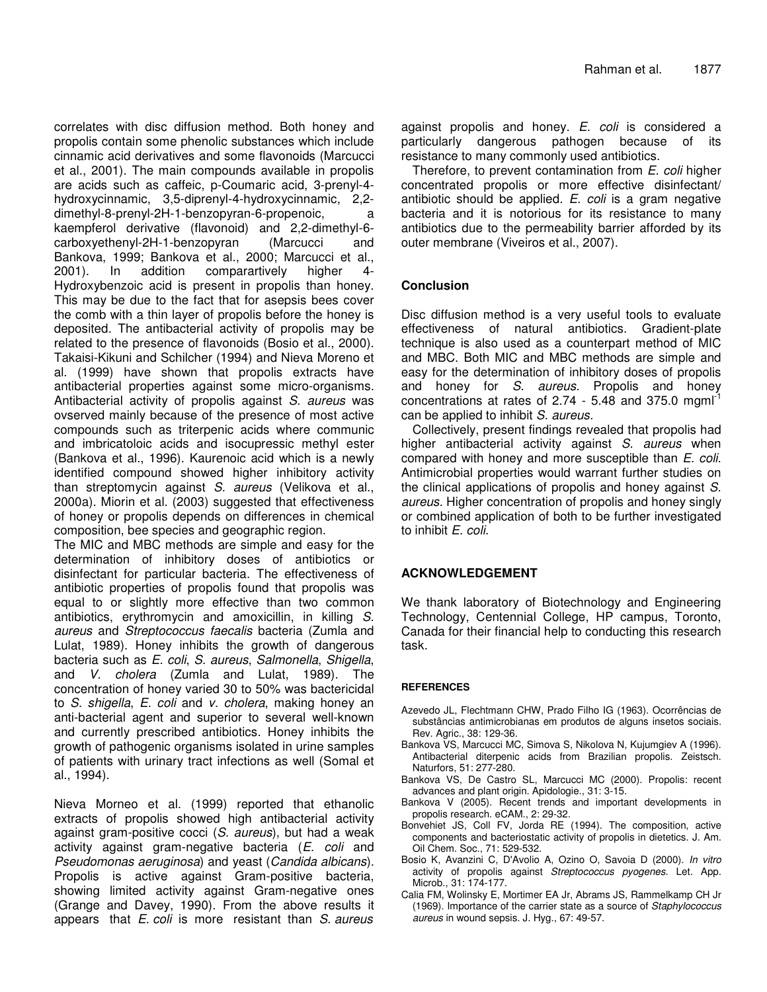correlates with disc diffusion method. Both honey and propolis contain some phenolic substances which include cinnamic acid derivatives and some flavonoids (Marcucci et al., 2001). The main compounds available in propolis are acids such as caffeic, p-Coumaric acid, 3-prenyl-4 hydroxycinnamic, 3,5-diprenyl-4-hydroxycinnamic, 2,2 dimethyl-8-prenyl-2H-1-benzopyran-6-propenoic, a kaempferol derivative (flavonoid) and 2,2-dimethyl-6 carboxyethenyl-2H-1-benzopyran (Marcucci and Bankova, 1999; Bankova et al., 2000; Marcucci et al., 2001). In addition comparartively higher 4- Hydroxybenzoic acid is present in propolis than honey. This may be due to the fact that for asepsis bees cover the comb with a thin layer of propolis before the honey is deposited. The antibacterial activity of propolis may be related to the presence of flavonoids (Bosio et al., 2000). Takaisi-Kikuni and Schilcher (1994) and Nieva Moreno et al. (1999) have shown that propolis extracts have antibacterial properties against some micro-organisms. Antibacterial activity of propolis against *S. aureus* was ovserved mainly because of the presence of most active compounds such as triterpenic acids where communic and imbricatoloic acids and isocupressic methyl ester (Bankova et al., 1996). Kaurenoic acid which is a newly identified compound showed higher inhibitory activity than streptomycin against *S. aureus* (Velikova et al., 2000a). Miorin et al. (2003) suggested that effectiveness of honey or propolis depends on differences in chemical composition, bee species and geographic region.

The MIC and MBC methods are simple and easy for the determination of inhibitory doses of antibiotics or disinfectant for particular bacteria. The effectiveness of antibiotic properties of propolis found that propolis was equal to or slightly more effective than two common antibiotics, erythromycin and amoxicillin, in killing *S. aureus* and *Streptococcus faecalis* bacteria (Zumla and Lulat, 1989). Honey inhibits the growth of dangerous bacteria such as *E. coli*, *S. aureus*, *Salmonella*, *Shigella*, and *V. cholera* (Zumla and Lulat, 1989). The concentration of honey varied 30 to 50% was bactericidal to *S. shigella*, *E. coli* and *v. cholera*, making honey an anti-bacterial agent and superior to several well-known and currently prescribed antibiotics. Honey inhibits the growth of pathogenic organisms isolated in urine samples of patients with urinary tract infections as well (Somal et al., 1994).

Nieva Morneo et al. (1999) reported that ethanolic extracts of propolis showed high antibacterial activity against gram-positive cocci (*S. aureus*), but had a weak activity against gram-negative bacteria (*E. coli* and *Pseudomonas aeruginosa*) and yeast (*Candida albicans*). Propolis is active against Gram-positive bacteria, showing limited activity against Gram-negative ones (Grange and Davey, 1990). From the above results it appears that *E. coli* is more resistant than *S. aureus*

against propolis and honey. *E. coli* is considered a particularly dangerous pathogen because of its resistance to many commonly used antibiotics.

Therefore, to prevent contamination from *E. coli* higher concentrated propolis or more effective disinfectant/ antibiotic should be applied. *E. coli* is a gram negative bacteria and it is notorious for its resistance to many antibiotics due to the permeability barrier afforded by its outer membrane (Viveiros et al., 2007).

# **Conclusion**

Disc diffusion method is a very useful tools to evaluate effectiveness of natural antibiotics. Gradient-plate technique is also used as a counterpart method of MIC and MBC. Both MIC and MBC methods are simple and easy for the determination of inhibitory doses of propolis and honey for *S. aureus.* Propolis and honey concentrations at rates of 2.74 - 5.48 and 375.0 mgml $^1$ can be applied to inhibit *S. aureus.*

Collectively, present findings revealed that propolis had higher antibacterial activity against *S. aureus* when compared with honey and more susceptible than *E. coli*. Antimicrobial properties would warrant further studies on the clinical applications of propolis and honey against *S. aureus.* Higher concentration of propolis and honey singly or combined application of both to be further investigated to inhibit *E. coli*.

## **ACKNOWLEDGEMENT**

We thank laboratory of Biotechnology and Engineering Technology, Centennial College, HP campus, Toronto, Canada for their financial help to conducting this research task.

## **REFERENCES**

- Azevedo JL, Flechtmann CHW, Prado Filho IG (1963). Ocorrências de substâncias antimicrobianas em produtos de alguns insetos sociais. Rev. Agric., 38: 129-36.
- Bankova VS, Marcucci MC, Simova S, Nikolova N, Kujumgiev A (1996). Antibacterial diterpenic acids from Brazilian propolis. Zeistsch. Naturfors, 51: 277-280.
- Bankova VS, De Castro SL, Marcucci MC (2000). Propolis: recent advances and plant origin. Apidologie., 31: 3-15.
- Bankova V (2005). Recent trends and important developments in propolis research. eCAM., 2: 29-32.
- Bonvehiet JS, Coll FV, Jorda RE (1994). The composition, active components and bacteriostatic activity of propolis in dietetics. J. Am. Oil Chem. Soc., 71: 529-532.
- Bosio K, Avanzini C, D'Avolio A, Ozino O, Savoia D (2000). *In vitro* activity of propolis against *Streptococcus pyogenes*. Let. App. Microb., 31: 174-177.
- Calia FM, Wolinsky E, Mortimer EA Jr, Abrams JS, Rammelkamp CH Jr (1969). Importance of the carrier state as a source of *Staphylococcus aureus* in wound sepsis. J. Hyg., 67: 49-57.